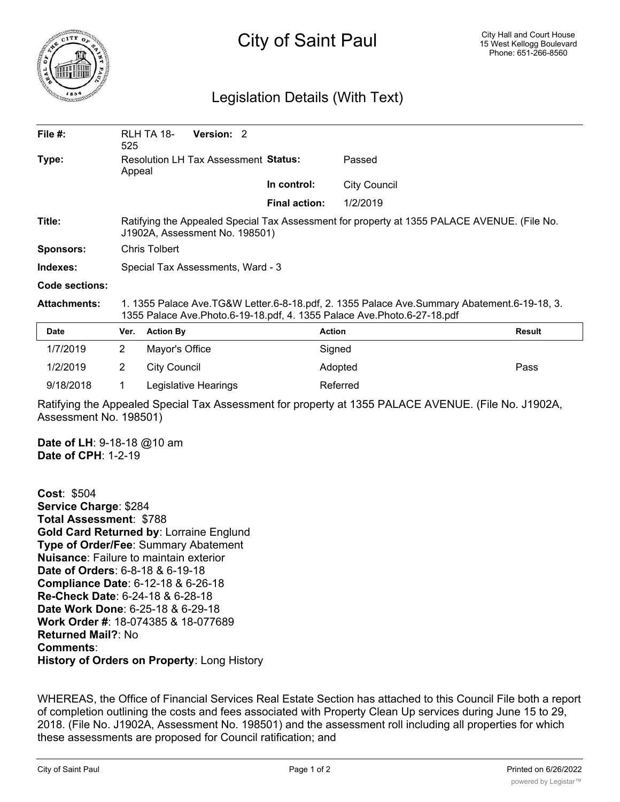

## City of Saint Paul

## Legislation Details (With Text)

| File $#$ :          | 525                                                                                                                                                                          | RLH TA 18-          | Version: 2 |  |                      |                     |        |
|---------------------|------------------------------------------------------------------------------------------------------------------------------------------------------------------------------|---------------------|------------|--|----------------------|---------------------|--------|
| Type:               | <b>Resolution LH Tax Assessment Status:</b><br>Appeal                                                                                                                        |                     |            |  |                      | Passed              |        |
|                     |                                                                                                                                                                              |                     |            |  | In control:          | <b>City Council</b> |        |
|                     |                                                                                                                                                                              |                     |            |  | <b>Final action:</b> | 1/2/2019            |        |
| Title:              | Ratifying the Appealed Special Tax Assessment for property at 1355 PALACE AVENUE. (File No.<br>J1902A, Assessment No. 198501)                                                |                     |            |  |                      |                     |        |
| <b>Sponsors:</b>    | Chris Tolbert                                                                                                                                                                |                     |            |  |                      |                     |        |
| Indexes:            | Special Tax Assessments, Ward - 3                                                                                                                                            |                     |            |  |                      |                     |        |
| Code sections:      |                                                                                                                                                                              |                     |            |  |                      |                     |        |
| <b>Attachments:</b> | 1. 1355 Palace Ave.TG&W Letter.6-8-18.pdf, 2. 1355 Palace Ave.Summary Abatement.6-19-18, 3.<br>1355 Palace Ave. Photo. 6-19-18. pdf, 4. 1355 Palace Ave. Photo. 6-27-18. pdf |                     |            |  |                      |                     |        |
| <b>Date</b>         | Ver.                                                                                                                                                                         | <b>Action By</b>    |            |  |                      | <b>Action</b>       | Result |
| 1/7/2019            | $\overline{2}$                                                                                                                                                               | Mayor's Office      |            |  |                      | Signed              |        |
| 1/2/2019            | 2                                                                                                                                                                            | <b>City Council</b> |            |  |                      | Adopted             | Pass   |
|                     |                                                                                                                                                                              |                     |            |  |                      |                     |        |

Ratifying the Appealed Special Tax Assessment for property at 1355 PALACE AVENUE. (File No. J1902A, Assessment No. 198501)

**Date of LH**: 9-18-18 @10 am **Date of CPH**: 1-2-19

**Cost**: \$504 **Service Charge**: \$284 **Total Assessment**: \$788 **Gold Card Returned by**: Lorraine Englund **Type of Order/Fee**: Summary Abatement **Nuisance**: Failure to maintain exterior **Date of Orders**: 6-8-18 & 6-19-18 **Compliance Date**: 6-12-18 & 6-26-18 **Re-Check Date**: 6-24-18 & 6-28-18 **Date Work Done**: 6-25-18 & 6-29-18 **Work Order #**: 18-074385 & 18-077689 **Returned Mail?**: No **Comments**: **History of Orders on Property**: Long History

9/18/2018 1 Legislative Hearings Referred

WHEREAS, the Office of Financial Services Real Estate Section has attached to this Council File both a report of completion outlining the costs and fees associated with Property Clean Up services during June 15 to 29, 2018. (File No. J1902A, Assessment No. 198501) and the assessment roll including all properties for which these assessments are proposed for Council ratification; and